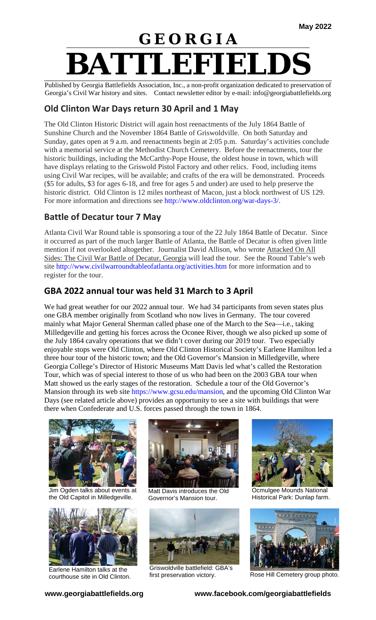# **G E O R G I A BATTLEFIELDS**

Published by Georgia Battlefields Association, Inc., a non-profit organization dedicated to preservation of Georgia's Civil War history and sites. Contact newsletter editor by e-mail: info@georgiabattlefields.org

#### **Old Clinton War Days return 30 April and 1 May**

The Old Clinton Historic District will again host reenactments of the July 1864 Battle of Sunshine Church and the November 1864 Battle of Griswoldville. On both Saturday and Sunday, gates open at 9 a.m. and reenactments begin at 2:05 p.m. Saturday's activities conclude with a memorial service at the Methodist Church Cemetery. Before the reenactments, tour the historic buildings, including the McCarthy-Pope House, the oldest house in town, which will have displays relating to the Griswold Pistol Factory and other relics. Food, including items using Civil War recipes, will be available; and crafts of the era will be demonstrated. Proceeds (\$5 for adults, \$3 for ages 6-18, and free for ages 5 and under) are used to help preserve the historic district. Old Clinton is 12 miles northeast of Macon, just a block northwest of US 129. For more information and directions see [http://www.oldclinton.org/war-days-3/.](http://www.oldclinton.org/war-days-3/)

#### **Battle of Decatur tour 7 May**

Atlanta Civil War Round table is sponsoring a tour of the 22 July 1864 Battle of Decatur. Since it occurred as part of the much larger Battle of Atlanta, the Battle of Decatur is often given little mention if not overlooked altogether. Journalist David Allison, who wrote Attacked On All Sides: The Civil War Battle of Decatur, Georgia will lead the tour. See the Round Table's web site<http://www.civilwarroundtableofatlanta.org/activities.htm> for more information and to register for the tour.

### **GBA 2022 annual tour was held 31 March to 3 April**

We had great weather for our 2022 annual tour. We had 34 participants from seven states plus one GBA member originally from Scotland who now lives in Germany. The tour covered mainly what Major General Sherman called phase one of the March to the Sea—i.e., taking Milledgeville and getting his forces across the Oconee River, though we also picked up some of the July 1864 cavalry operations that we didn't cover during our 2019 tour. Two especially enjoyable stops were Old Clinton, where Old Clinton Historical Society's Earlene Hamilton led a three hour tour of the historic town; and the Old Governor's Mansion in Milledgeville, where Georgia College's Director of Historic Museums Matt Davis led what's called the Restoration Tour, which was of special interest to those of us who had been on the 2003 GBA tour when Matt showed us the early stages of the restoration. Schedule a tour of the Old Governor's Mansion through its web site [https://www.gcsu.edu/mansion,](https://www.gcsu.edu/mansion) and the upcoming Old Clinton War Days (see related article above) provides an opportunity to see a site with buildings that were there when Confederate and U.S. forces passed through the town in 1864.



Jim Ogden talks about events at the Old Capitol in Milledgeville.



Earlene Hamilton talks at the courthouse site in Old Clinton.



Matt Davis introduces the Old Governor's Mansion tour.



Griswoldville battlefield: GBA's



Ocmulgee Mounds National Historical Park: Dunlap farm.



first preservation victory. Rose Hill Cemetery group photo.

**www.georgiabattlefields.org www.facebook.com/georgiabattlefields**